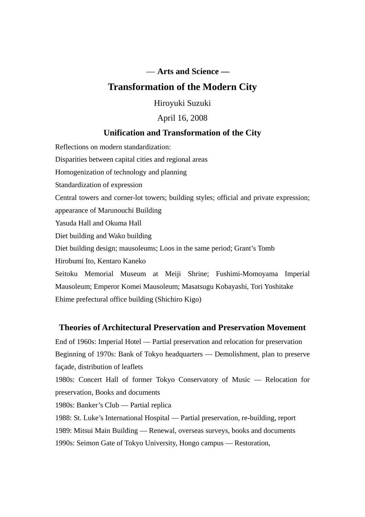## — **Arts and Science —**

# **Transformation of the Modern City**

Hiroyuki Suzuki

#### April 16, 2008

## **Unification and Transformation of the City**

Reflections on modern standardization: Disparities between capital cities and regional areas Homogenization of technology and planning Standardization of expression Central towers and corner-lot towers; building styles; official and private expression; appearance of Marunouchi Building Yasuda Hall and Okuma Hall Diet building and Wako building Diet building design; mausoleums; Loos in the same period; Grant's Tomb Hirobumi Ito, Kentaro Kaneko Seitoku Memorial Museum at Meiji Shrine; Fushimi-Momoyama Imperial Mausoleum; Emperor Komei Mausoleum; Masatsugu Kobayashi, Tori Yoshitake

Ehime prefectural office building (Shichiro Kigo)

## **Theories of Architectural Preservation and Preservation Movement**

End of 1960s: Imperial Hotel — Partial preservation and relocation for preservation Beginning of 1970s: Bank of Tokyo headquarters — Demolishment, plan to preserve façade, distribution of leaflets

1980s: Concert Hall of former Tokyo Conservatory of Music — Relocation for preservation, Books and documents

1980s: Banker's Club — Partial replica

1988: St. Luke's International Hospital — Partial preservation, re-building, report 1989: Mitsui Main Building — Renewal, overseas surveys, books and documents 1990s: Seimon Gate of Tokyo University, Hongo campus — Restoration,